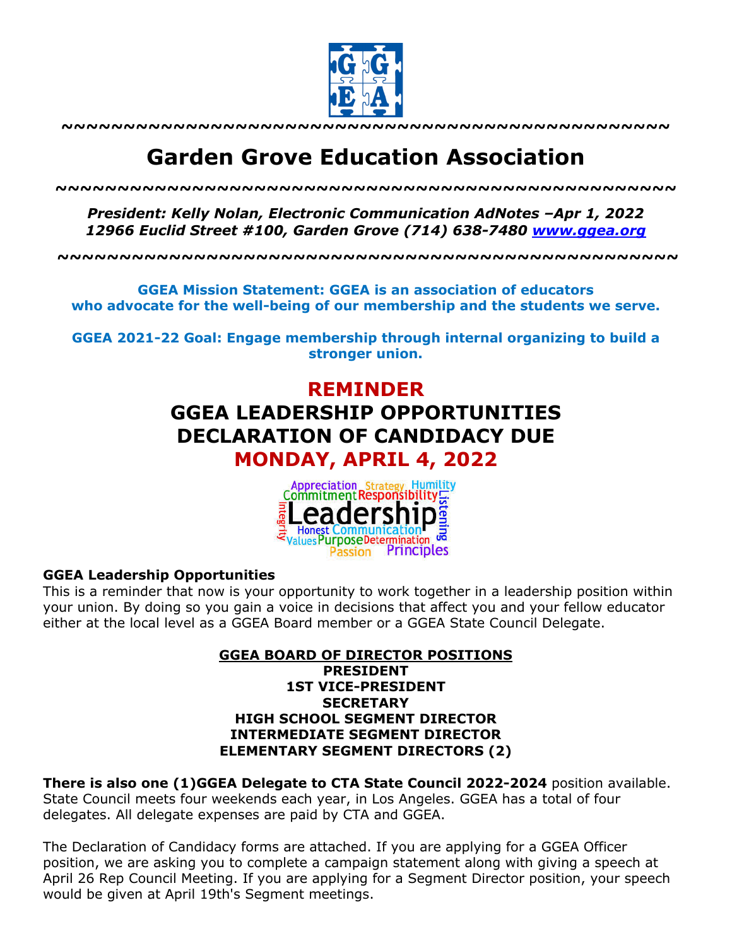

**~~~~~~~~~~~~~~~~~~~~~~~~~~~~~~~~~~~~~~~~~~~~~~~~~**

# **Garden Grove Education Association**

*~~~~~~~~~~~~~~~~~~~~~~~~~~~~~~~~~~~~~~~~~~~~~~~~~~*

*President: Kelly Nolan, Electronic Communication AdNotes –Apr 1, 2022 12966 Euclid Street #100, Garden Grove (714) 638-7480 www.ggea.org*

**~~~~~~~~~~~~~~~~~~~~~~~~~~~~~~~~~~~~~~~~~~~~~~~~~~**

**GGEA Mission Statement: GGEA is an association of educators who advocate for the well-being of our membership and the students we serve.**

**GGEA 2021-22 Goal: Engage membership through internal organizing to build a stronger union.**

## **REMINDER GGEA LEADERSHIP OPPORTUNITIES DECLARATION OF CANDIDACY DUE MONDAY, APRIL 4, 2022**



### **GGEA Leadership Opportunities**

This is a reminder that now is your opportunity to work together in a leadership position within your union. By doing so you gain a voice in decisions that affect you and your fellow educator either at the local level as a GGEA Board member or a GGEA State Council Delegate.

#### **GGEA BOARD OF DIRECTOR POSITIONS PRESIDENT 1ST VICE-PRESIDENT SECRETARY HIGH SCHOOL SEGMENT DIRECTOR INTERMEDIATE SEGMENT DIRECTOR ELEMENTARY SEGMENT DIRECTORS (2)**

**There is also one (1)GGEA Delegate to CTA State Council 2022-2024** position available. State Council meets four weekends each year, in Los Angeles. GGEA has a total of four delegates. All delegate expenses are paid by CTA and GGEA.

The Declaration of Candidacy forms are attached. If you are applying for a GGEA Officer position, we are asking you to complete a campaign statement along with giving a speech at April 26 Rep Council Meeting. If you are applying for a Segment Director position, your speech would be given at April 19th's Segment meetings.